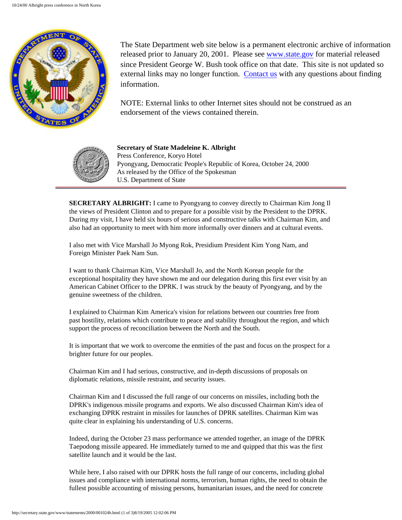

The State Department web site below is a permanent electronic archive of information released prior to January 20, 2001. Please see [www.state.gov](http://www.state.gov/) for material released since President George W. Bush took office on that date. This site is not updated so external links may no longer function. [Contact us](http://state.gov/documents/ContactUs.cfm) with any questions about finding information.

NOTE: External links to other Internet sites should not be construed as an endorsement of the views contained therein.



**Secretary of State Madeleine K. Albright** Press Conference, Koryo Hotel Pyongyang, Democratic People's Republic of Korea, October 24, 2000 As released by the Office of the Spokesman U.S. Department of State

**SECRETARY ALBRIGHT:** I came to Pyongyang to convey directly to Chairman Kim Jong Il the views of President Clinton and to prepare for a possible visit by the President to the DPRK. During my visit, I have held six hours of serious and constructive talks with Chairman Kim, and also had an opportunity to meet with him more informally over dinners and at cultural events.

I also met with Vice Marshall Jo Myong Rok, Presidium President Kim Yong Nam, and Foreign Minister Paek Nam Sun.

I want to thank Chairman Kim, Vice Marshall Jo, and the North Korean people for the exceptional hospitality they have shown me and our delegation during this first ever visit by an American Cabinet Officer to the DPRK. I was struck by the beauty of Pyongyang, and by the genuine sweetness of the children.

I explained to Chairman Kim America's vision for relations between our countries free from past hostility, relations which contribute to peace and stability throughout the region, and which support the process of reconciliation between the North and the South.

It is important that we work to overcome the enmities of the past and focus on the prospect for a brighter future for our peoples.

Chairman Kim and I had serious, constructive, and in-depth discussions of proposals on diplomatic relations, missile restraint, and security issues.

Chairman Kim and I discussed the full range of our concerns on missiles, including both the DPRK's indigenous missile programs and exports. We also discussed Chairman Kim's idea of exchanging DPRK restraint in missiles for launches of DPRK satellites. Chairman Kim was quite clear in explaining his understanding of U.S. concerns.

Indeed, during the October 23 mass performance we attended together, an image of the DPRK Taepodong missile appeared. He immediately turned to me and quipped that this was the first satellite launch and it would be the last.

While here, I also raised with our DPRK hosts the full range of our concerns, including global issues and compliance with international norms, terrorism, human rights, the need to obtain the fullest possible accounting of missing persons, humanitarian issues, and the need for concrete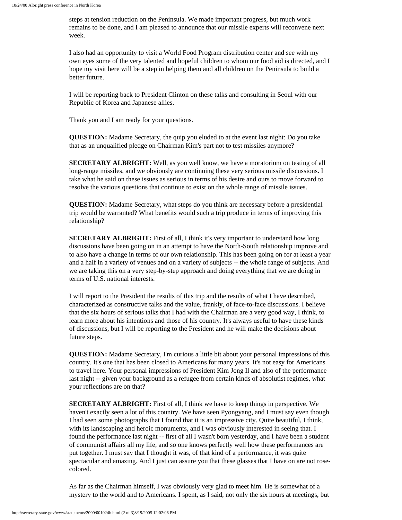steps at tension reduction on the Peninsula. We made important progress, but much work remains to be done, and I am pleased to announce that our missile experts will reconvene next week.

I also had an opportunity to visit a World Food Program distribution center and see with my own eyes some of the very talented and hopeful children to whom our food aid is directed, and I hope my visit here will be a step in helping them and all children on the Peninsula to build a better future.

I will be reporting back to President Clinton on these talks and consulting in Seoul with our Republic of Korea and Japanese allies.

Thank you and I am ready for your questions.

**QUESTION:** Madame Secretary, the quip you eluded to at the event last night: Do you take that as an unqualified pledge on Chairman Kim's part not to test missiles anymore?

**SECRETARY ALBRIGHT:** Well, as you well know, we have a moratorium on testing of all long-range missiles, and we obviously are continuing these very serious missile discussions. I take what he said on these issues as serious in terms of his desire and ours to move forward to resolve the various questions that continue to exist on the whole range of missile issues.

**QUESTION:** Madame Secretary, what steps do you think are necessary before a presidential trip would be warranted? What benefits would such a trip produce in terms of improving this relationship?

**SECRETARY ALBRIGHT:** First of all, I think it's very important to understand how long discussions have been going on in an attempt to have the North-South relationship improve and to also have a change in terms of our own relationship. This has been going on for at least a year and a half in a variety of venues and on a variety of subjects -- the whole range of subjects. And we are taking this on a very step-by-step approach and doing everything that we are doing in terms of U.S. national interests.

I will report to the President the results of this trip and the results of what I have described, characterized as constructive talks and the value, frankly, of face-to-face discussions. I believe that the six hours of serious talks that I had with the Chairman are a very good way, I think, to learn more about his intentions and those of his country. It's always useful to have these kinds of discussions, but I will be reporting to the President and he will make the decisions about future steps.

**QUESTION:** Madame Secretary, I'm curious a little bit about your personal impressions of this country. It's one that has been closed to Americans for many years. It's not easy for Americans to travel here. Your personal impressions of President Kim Jong Il and also of the performance last night -- given your background as a refugee from certain kinds of absolutist regimes, what your reflections are on that?

**SECRETARY ALBRIGHT:** First of all, I think we have to keep things in perspective. We haven't exactly seen a lot of this country. We have seen Pyongyang, and I must say even though I had seen some photographs that I found that it is an impressive city. Quite beautiful, I think, with its landscaping and heroic monuments, and I was obviously interested in seeing that. I found the performance last night -- first of all I wasn't born yesterday, and I have been a student of communist affairs all my life, and so one knows perfectly well how these performances are put together. I must say that I thought it was, of that kind of a performance, it was quite spectacular and amazing. And I just can assure you that these glasses that I have on are not rosecolored.

As far as the Chairman himself, I was obviously very glad to meet him. He is somewhat of a mystery to the world and to Americans. I spent, as I said, not only the six hours at meetings, but